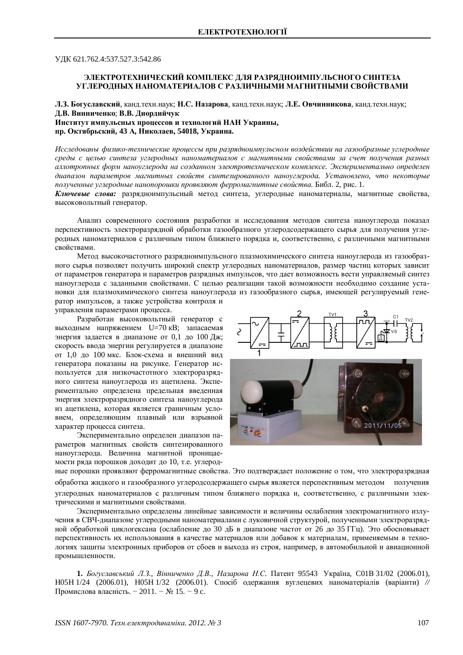УЛК 621.762.4:537.527.3:542.86

## ЭЛЕКТРОТЕХНИЧЕСКИЙ КОМПЛЕКС ЛЛЯ РАЗРЯЛНОИМПУЛЬСНОГО СИНТЕЗА УГЛЕРОДНЫХ НАНОМАТЕРИАЛОВ С РАЗЛИЧНЫМИ МАГНИТНЫМИ СВОЙСТВАМИ

**Л.З. Богуславский**, канд.техн.наук; Н.С. Назарова, канд.техн.наук; Л.Е. Овчинникова, канд.техн.наук;  $\Lambda$ **.В. Винниченко**; В.В. Диордийчук

Институт импульсных процессов и технологий НАН Украины, пр. Октябрьский, 43 А, Николаев, 54018, Украина.

Исследованы физико-технические процессы при разрядноимпульсном воздействии на газообразные углеродные среды с целью синтеза углеродных наноматериалов с магнитными свойствами за счет получения разных *ɚɥɥɨɬɪɨɩɧɵɯɮɨɪɦɧɚɧɨɭɝɥɟɪɨɞɚɧɚɫɨɡɞɚɧɧɨɦɷɥɟɤɬɪɨɬɟɯɧɢɱɟɫɤɨɦɤɨɦɩɥɟɤɫɟ. ɗɤɫɩɟɪɢɦɟɧɬɚɥɶɧɨ ɨɩɪɟɞɟɥɟɧ* диапазон параметров магнитных свойств синтезированного наноуглерода. Установлено, что некоторые полученные углеродные нанопорошки проявляют ферромагнитные свойства. Библ. 2, рис. 1.

Ключевые слова: разрядноимпульсный метод синтеза, углеродные наноматериалы, магнитные свойства, высоковольтный генератор.

Анализ современного состояния разработки и исследования методов синтеза наноуглерода показал перспективность электроразрядной обработки газообразного углеродсодержащего сырья для получения углеродных наноматериалов с различным типом ближнего порядка и, соответственно, с различными магнитными свойствами.

Метод высокочастотного разрядноимпульсного плазмохимического синтеза наноуглерода из газообразного сырья позволяет получить широкий спектр углеродных наноматериалов, размер частиц которых зависит от параметров генератора и параметров разрядных импульсов, что дает возможность вести управляемый синтез наноуглерода с заданными свойствами. С целью реализации такой возможности необходимо создание установки для плазмохимического синтеза наноуглерода из газообразного сырья, имеющей регулируемый генератор импульсов, а также устройства контроля и

управления параметрами процесса.

Разработан высоковольтный генератор с выходным напряжением U=70 кВ; запасаемая энергия задается в диапазоне от 0.1 до 100 Дж; скорость ввода энергии регулируется в диапазоне от 1,0 до 100 мкс. Блок-схема и внешний вид генератора показаны на рисунке. Генератор используется для низкочастотного электроразрядного синтеза наноуглерода из ацетилена. Экспериментально определена предельная введенная энергия электроразрядного синтеза наноуглерода из ацетилена, которая является граничным условием, определяющим плавный или взрывной характер процесса синтеза.

Экспериментально определен диапазон параметров магнитных свойств синтезированного наноуглерода. Величина магнитной проницаемости ряда порошков доходит до 10, т.е. углерод-





ные порошки проявляют ферромагнитные свойства. Это подтверждает положение о том, что электроразрядная обработка жилкого и газообразного углеролсолержащего сырья является перспективным метолом получения углеродных наноматериалов с различным типом ближнего порядка и, соответственно, с различными электрическими и магнитными свойствами.

Экспериментально определены линейные зависимости и величины ослабления электромагнитного излучения в СВЧ-диапазоне углеродными наноматериалами с луковичной структурой, полученными электроразрядной обработкой циклогексана (ослабление до 30 дБ в диапазоне частот от 26 до 35 ГГц). Это обосновывает перспективность их использования в качестве материалов или добавок к материалам, применяемым в технологиях защиты электронных приборов от сбоев и выхода из строя, например, в автомобильной и авиационной промышленности.

1. *Богуславський Л.З., Вінниченко Д.В., Назарова Н.С.* Патент 95543 Україна, С01В 31/02 (2006.01), H05H 1/24 (2006.01), H05H 1/32 (2006.01). Спосіб одержання вуглецевих наноматеріалів (варіанти) // Промислова власність. − 2011. – № 15. – 9 с.